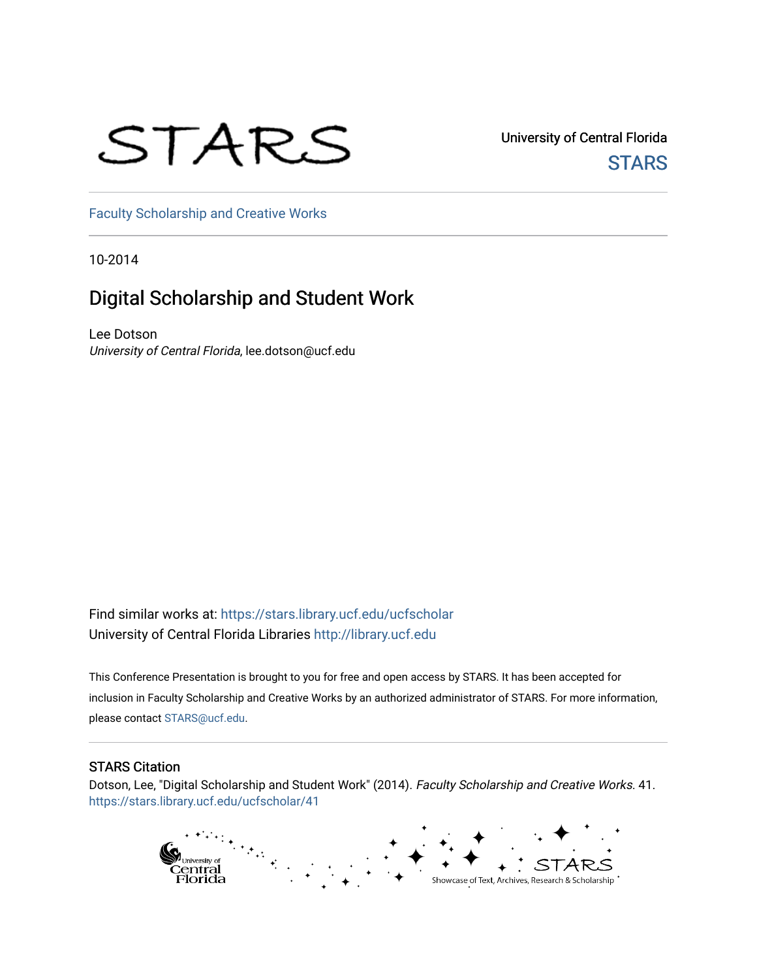## STARS

University of Central Florida **STARS** 

[Faculty Scholarship and Creative Works](https://stars.library.ucf.edu/ucfscholar) 

10-2014

#### Digital Scholarship and Student Work

Lee Dotson University of Central Florida, lee.dotson@ucf.edu

Find similar works at: <https://stars.library.ucf.edu/ucfscholar> University of Central Florida Libraries [http://library.ucf.edu](http://library.ucf.edu/) 

This Conference Presentation is brought to you for free and open access by STARS. It has been accepted for inclusion in Faculty Scholarship and Creative Works by an authorized administrator of STARS. For more information, please contact [STARS@ucf.edu](mailto:STARS@ucf.edu).

#### STARS Citation

Dotson, Lee, "Digital Scholarship and Student Work" (2014). Faculty Scholarship and Creative Works. 41. [https://stars.library.ucf.edu/ucfscholar/41](https://stars.library.ucf.edu/ucfscholar/41?utm_source=stars.library.ucf.edu%2Fucfscholar%2F41&utm_medium=PDF&utm_campaign=PDFCoverPages) 

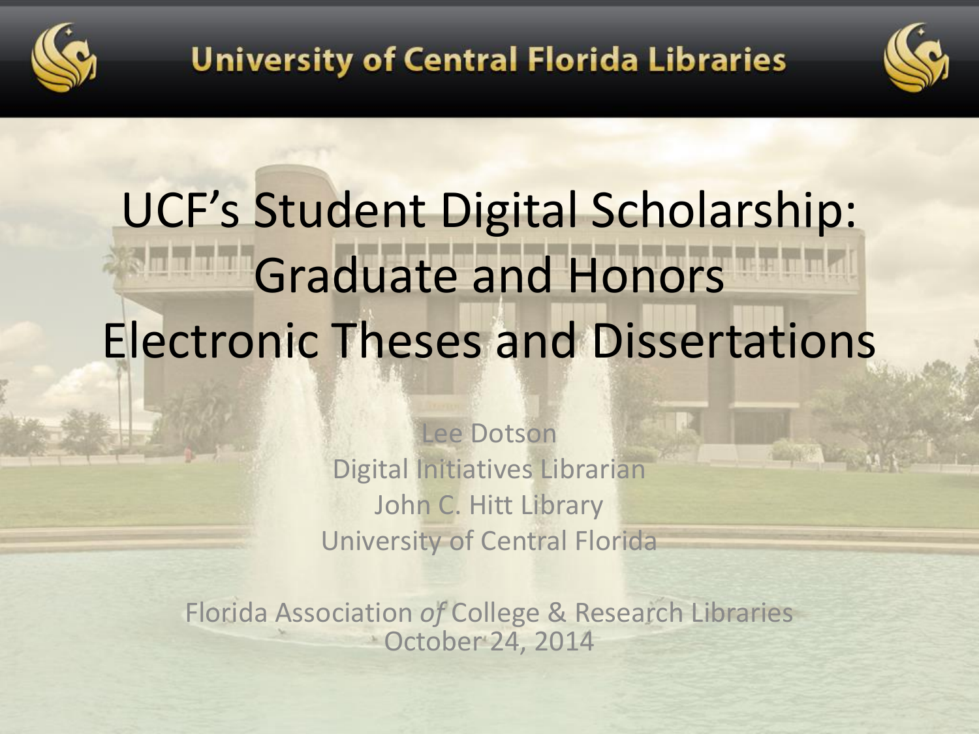



# UCF's Student Digital Scholarship: Graduate and Honors Electronic Theses and Dissertations

Lee Dotson Digital Initiatives Librarian John C. Hitt Library University of Central Florida

Florida Association *of* College & Research Libraries October 24, 2014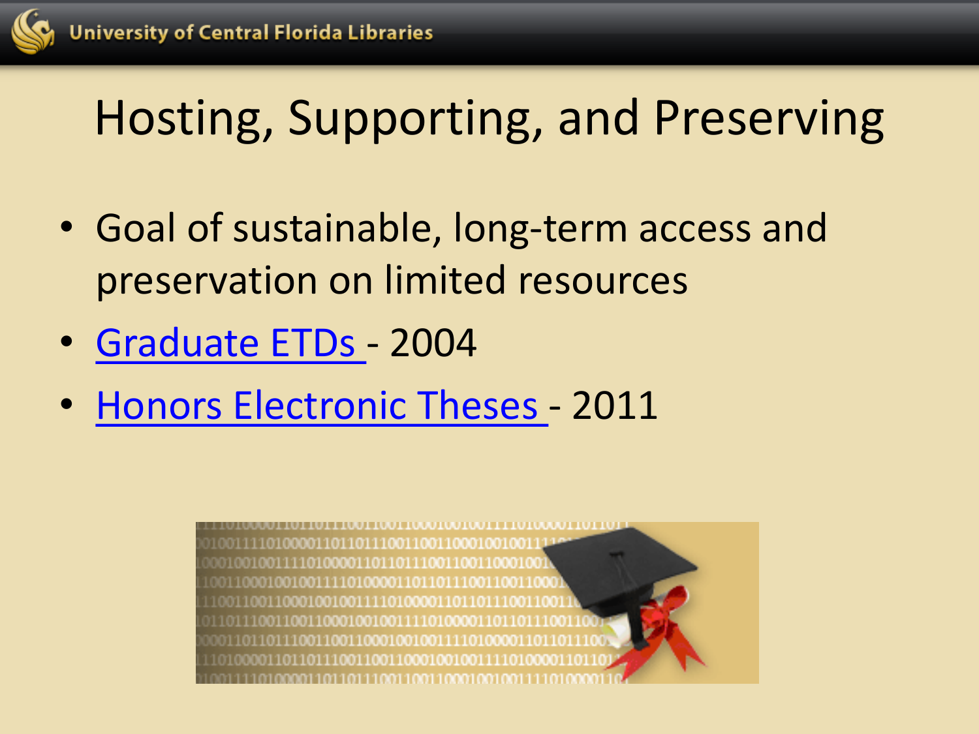

## Hosting, Supporting, and Preserving

- Goal of sustainable, long-term access and preservation on limited resources
- [Graduate ETDs](http://guides.ucf.edu/thesesanddissertations/about_etd)  2004
- [Honors Electronic Theses](http://guides.ucf.edu/thesesanddissertations/about_him)  2011

001001001111010000110110111001100110001001 0011000100100111101000011011011100110011000 1001100110001001001111010000110110111001100 001101101110011001100010010011110100001101101110 001101101110011001100010010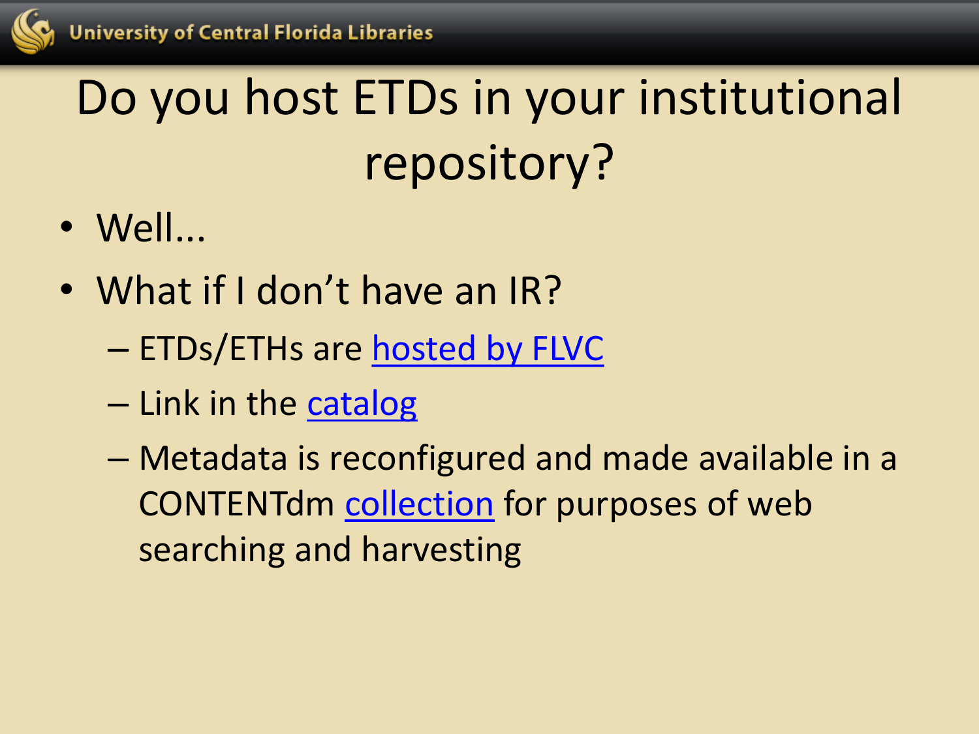

# Do you host ETDs in your institutional repository?

- Well...
- What if I don't have an IR?
	- ETDs/ETHs are [hosted by FLVC](http://fclaweb.fcla.edu/node/528)
	- Link in the [catalog](http://ucf.catalog.fcla.edu/permalink.jsp?29CF032946532)
	- Metadata is reconfigured and made available in a CONTENTdm [collection](http://digital.library.ucf.edu/cdm/landingpage/collection/ETD) for purposes of web searching and harvesting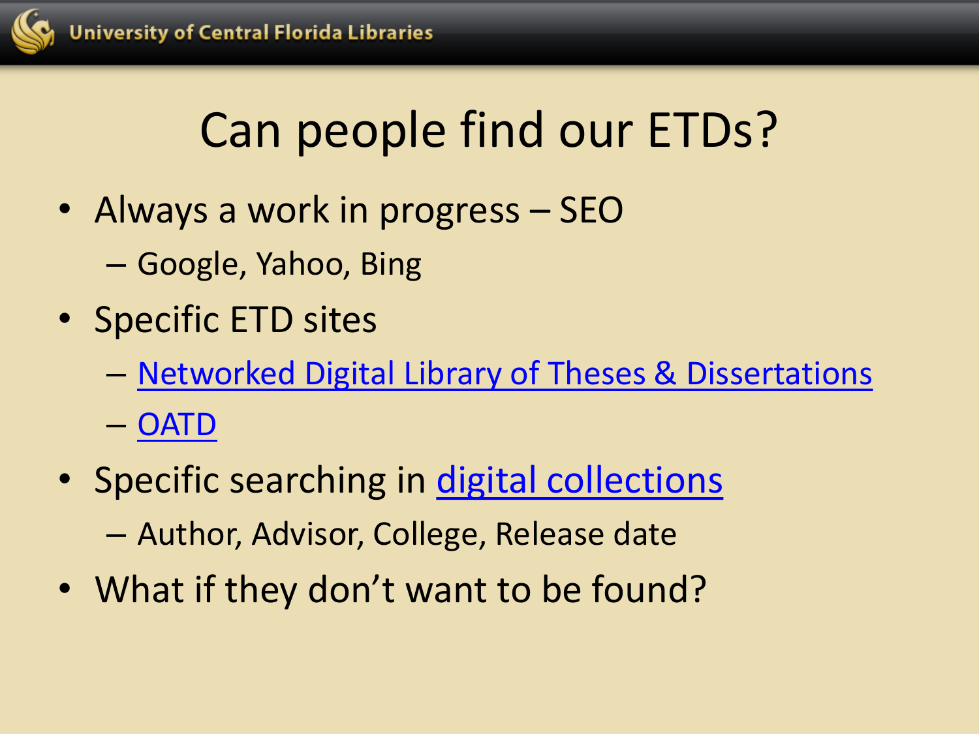

## Can people find our ETDs?

- Always a work in progress SEO
	- Google, Yahoo, Bing
- Specific ETD sites
	- [Networked Digital Library of Theses & Dissertations](http://ndltd.vtls.com/search/query?match_1=MUST&field_1=text&term_1="university+of+central+florida"&sort=dateNewest&theme=NDLTD)
	- [OATD](http://oatd.org/oatd/search?q=publisher:(university AND of AND central AND florida)&sort=date)
- Specific searching in [digital collections](http://digital.library.ucf.edu/cdm/landingpage/collection/ETD)

– Author, Advisor, College, Release date

• What if they don't want to be found?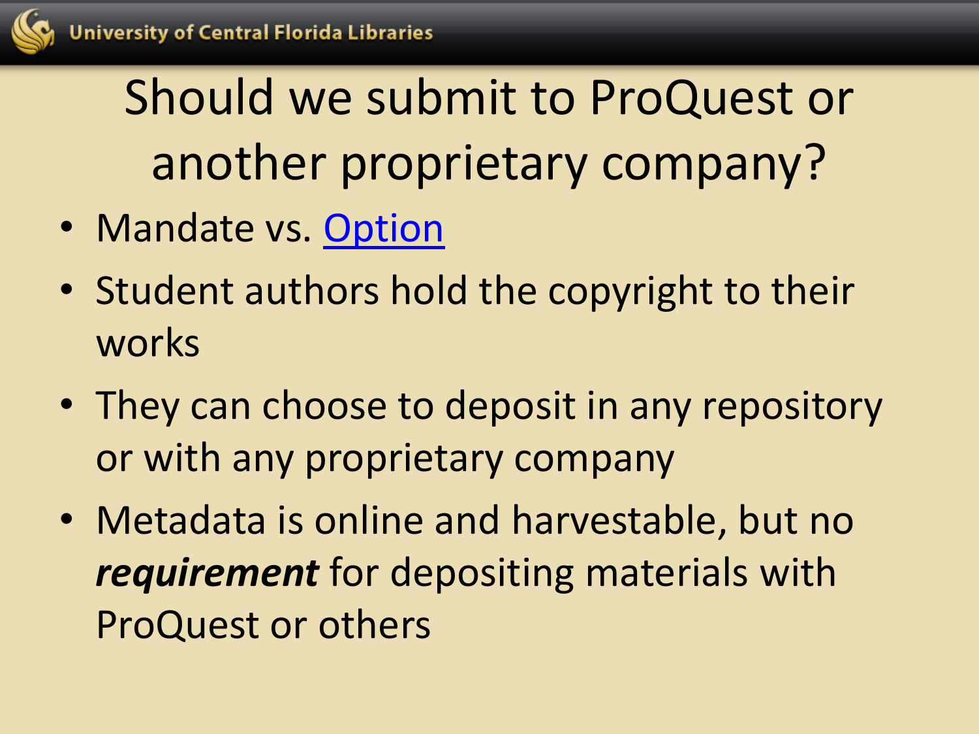

Should we submit to ProQuest or another proprietary company?

- Mandate vs. [Option](http://guides.ucf.edu/c.php?g=78534&p=517668)
- Student authors hold the copyright to their works
- They can choose to deposit in any repository or with any proprietary company
- Metadata is online and harvestable, but no *requirement* for depositing materials with ProQuest or others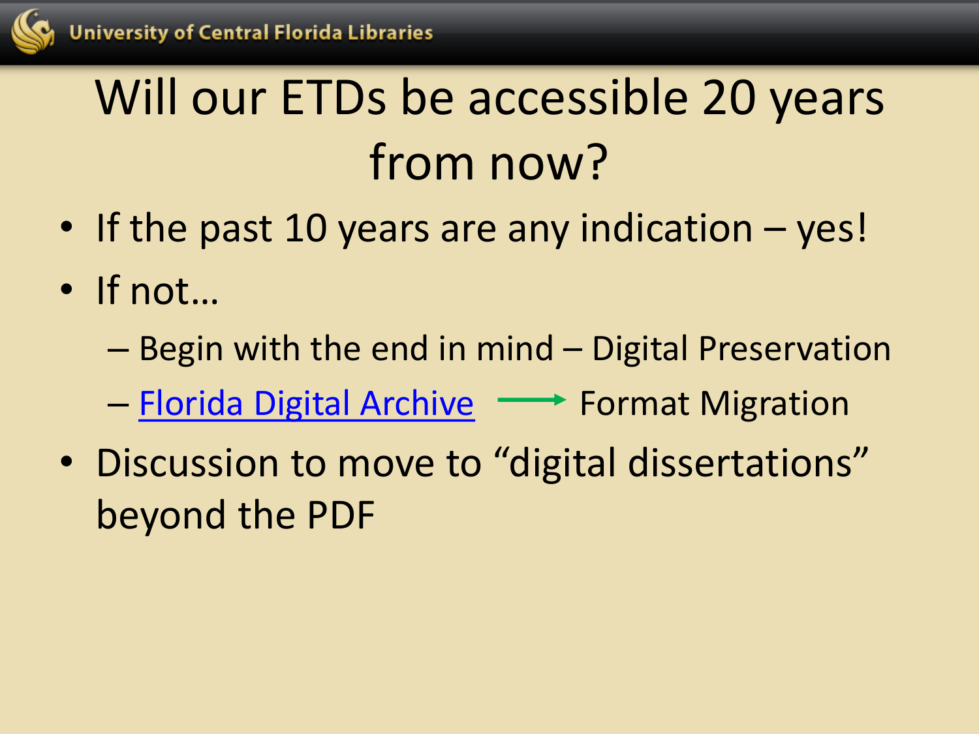

## Will our ETDs be accessible 20 years from now?

- If the past 10 years are any indication yes!
- If not…
	- Begin with the end in mind Digital Preservation
	- [Florida Digital Archive](http://fclaweb.fcla.edu/content/fda-background-information) Format Migration
- Discussion to move to "digital dissertations" beyond the PDF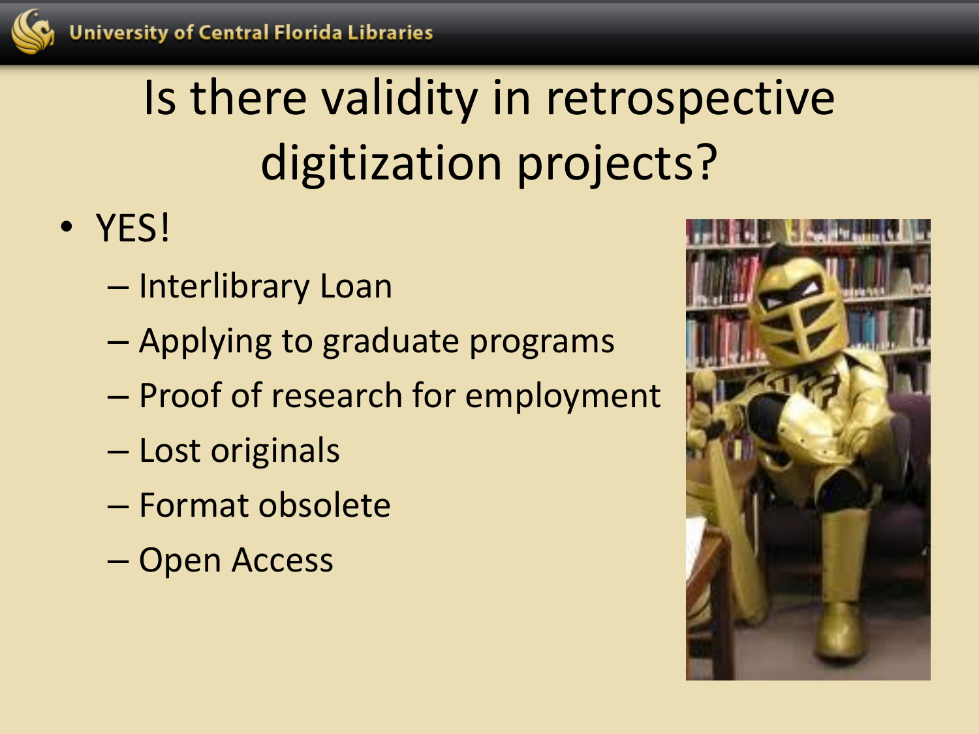

# Is there validity in retrospective digitization projects?

- YES!
	- Interlibrary Loan
	- Applying to graduate programs
	- Proof of research for employment
	- Lost originals
	- Format obsolete
	- Open Access

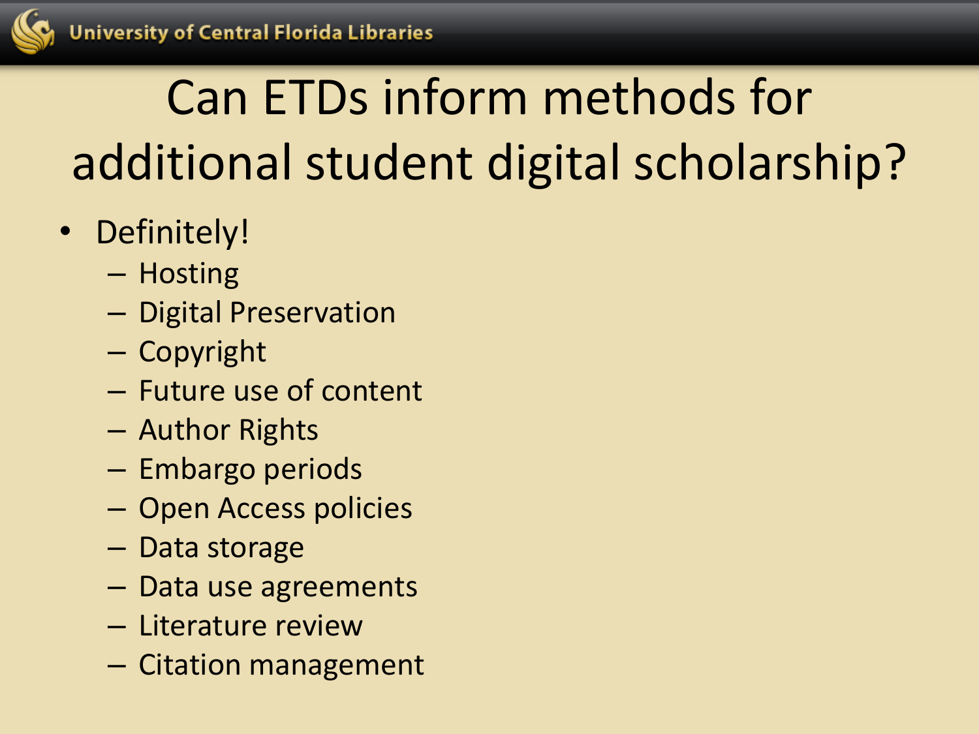## Can ETDs inform methods for additional student digital scholarship?

- Definitely!
	- Hosting
	- Digital Preservation
	- Copyright
	- Future use of content
	- Author Rights
	- Embargo periods
	- Open Access policies
	- Data storage
	- Data use agreements
	- Literature review
	- Citation management